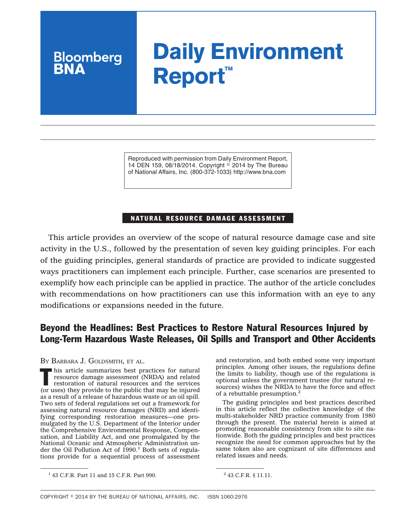# **Daily Environment Report™**

Reproduced with permission from Daily Environment Report, 14 DEN 159, 08/18/2014. Copyright  $\degree$  2014 by The Bureau of National Affairs, Inc. (800-372-1033) http://www.bna.com

## NATURAL RESOURCE DAMAGE ASSESSMENT

This article provides an overview of the scope of natural resource damage case and site activity in the U.S., followed by the presentation of seven key guiding principles. For each of the guiding principles, general standards of practice are provided to indicate suggested ways practitioners can implement each principle. Further, case scenarios are presented to exemplify how each principle can be applied in practice. The author of the article concludes with recommendations on how practitioners can use this information with an eye to any modifications or expansions needed in the future.

## Beyond the Headlines: Best Practices to Restore Natural Resources Injured by Long-Term Hazardous Waste Releases, Oil Spills and Transport and Other Accidents

BY BARBARA J. GOLDSMITH, ET AL.

**Bloomberg** 

This article summarizes best practices for natural<br>resource damage assessment (NRDA) and related<br>restoration of natural resources and the services<br>(arrived) resource damage assessment (NRDA) and related (or uses) they provide to the public that may be injured as a result of a release of hazardous waste or an oil spill. Two sets of federal regulations set out a framework for assessing natural resource damages (NRD) and identifying corresponding restoration measures—one promulgated by the U.S. Department of the Interior under the Comprehensive Environmental Response, Compensation, and Liability Act, and one promulgated by the National Oceanic and Atmospheric Administration under the Oil Pollution Act of  $1990.<sup>1</sup>$  Both sets of regulations provide for a sequential process of assessment and restoration, and both embed some very important principles. Among other issues, the regulations define the limits to liability, though use of the regulations is optional unless the government trustee (for natural resources) wishes the NRDA to have the force and effect of a rebuttable presumption.<sup>2</sup>

The guiding principles and best practices described in this article reflect the collective knowledge of the multi-stakeholder NRD practice community from 1980 through the present. The material herein is aimed at promoting reasonable consistency from site to site nationwide. Both the guiding principles and best practices recognize the need for common approaches but by the same token also are cognizant of site differences and related issues and needs.

<sup>&</sup>lt;sup>1</sup> 43 C.F.R. Part 11 and 15 C.F.R. Part 990. <sup>2</sup> 43 C.F.R. § 11.11.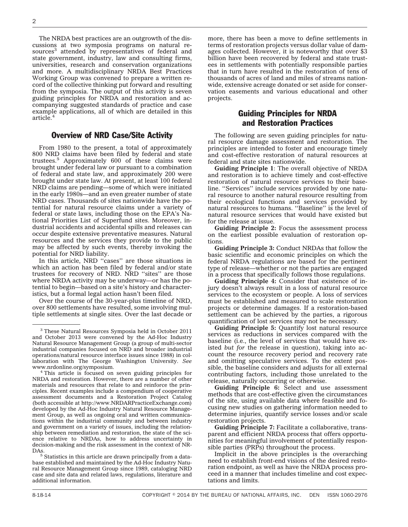The NRDA best practices are an outgrowth of the discussions at two symposia programs on natural resources<sup>3</sup> attended by representatives of federal and state government, industry, law and consulting firms, universities, research and conservation organizations and more. A multidisciplinary NRDA Best Practices Working Group was convened to prepare a written record of the collective thinking put forward and resulting from the symposia. The output of this activity is seven guiding principles for NRDA and restoration and accompanying suggested standards of practice and case example applications, all of which are detailed in this article.<sup>4</sup>

### Overview of NRD Case/Site Activity

From 1980 to the present, a total of approximately 800 NRD claims have been filed by federal and state trustees.5 Approximately 600 of these claims were brought under federal law or pursuant to a combination of federal and state law, and approximately 200 were brought under state law. At present, at least 100 federal NRD claims are pending—some of which were initiated in the early 1980s—and an even greater number of state NRD cases. Thousands of sites nationwide have the potential for natural resource claims under a variety of federal or state laws, including those on the EPA's National Priorities List of Superfund sites. Moreover, industrial accidents and accidental spills and releases can occur despite extensive preventative measures. Natural resources and the services they provide to the public may be affected by such events, thereby invoking the potential for NRD liability.

In this article, NRD ''cases'' are those situations in which an action has been filed by federal and/or state trustees for recovery of NRD. NRD ''sites'' are those where NRDA activity may be underway—or has the potential to begin—based on a site's history and characteristics, but a formal legal action hasn't been filed.

Over the course of the 30-year-plus timeline of NRD, over 800 settlements have resulted, some involving multiple settlements at single sites. Over the last decade or

base established and maintained by the Ad-Hoc Industry Natural Resource Management Group since 1989, cataloging NRD case and site data and related laws, regulations, literature and additional information.

more, there has been a move to define settlements in terms of restoration projects versus dollar value of damages collected. However, it is noteworthy that over \$3 billion have been recovered by federal and state trustees in settlements with potentially responsible parties that in turn have resulted in the restoration of tens of thousands of acres of land and miles of streams nationwide, extensive acreage donated or set aside for conservation easements and various educational and other projects.

## Guiding Principles for NRDA and Restoration Practices

The following are seven guiding principles for natural resource damage assessment and restoration. The principles are intended to foster and encourage timely and cost-effective restoration of natural resources at federal and state sites nationwide.

**Guiding Principle 1**: The overall objective of NRDA and restoration is to achieve timely and cost-effective restoration of natural resource services to their baseline. ''Services'' include services provided by one natural resource to another natural resource resulting from their ecological functions and services provided by natural resources to humans. ''Baseline'' is the level of natural resource services that would have existed but for the release at issue.

**Guiding Principle 2:** Focus the assessment process on the earliest possible evaluation of restoration options.

**Guiding Principle 3:** Conduct NRDAs that follow the basic scientific and economic principles on which the federal NRDA regulations are based for the pertinent type of release—whether or not the parties are engaged in a process that specifically follows those regulations.

**Guiding Principle 4:** Consider that existence of injury doesn't always result in a loss of natural resource services to the ecosystem or people. A loss of services must be established and measured to scale restoration projects or determine damages. If a restoration-based settlement can be achieved by the parties, a rigorous quantification of lost services may not be necessary.

**Guiding Principle 5:** Quantify lost natural resource services as reductions in services compared with the baseline (i.e., the level of services that would have existed *but for* the release in question), taking into account the resource recovery period and recovery rate and omitting speculative services. To the extent possible, the baseline considers and adjusts for all external contributing factors, including those unrelated to the release, naturally occurring or otherwise.

**Guiding Principle 6:** Select and use assessment methods that are cost-effective given the circumstances of the site, using available data where feasible and focusing new studies on gathering information needed to determine injuries, quantify service losses and/or scale restoration projects.

**Guiding Principle 7:** Facilitate a collaborative, transparent and efficient NRDA process that offers opportunities for meaningful involvement of potentially responsible parties (PRPs) throughout the process.

Implicit in the above principles is the overarching need to establish front-end visions of the desired restoration endpoint, as well as have the NRDA process proceed in a manner that includes timeline and cost expectations and limits.

<sup>3</sup> These Natural Resources Symposia held in October 2011 and October 2013 were convened by the Ad-Hoc Industry Natural Resource Management Group (a group of multi-sector industrial companies focused on NRD and broader industrial operations/natural resource interface issues since 1988) in collaboration with The George Washington University. *See*

<sup>&</sup>lt;sup>4</sup> This article is focused on seven guiding principles for NRDA and restoration. However, there are a number of other materials and resources that relate to and reinforce the principles. Recent examples include a compendium of cooperative assessment documents and a Restoration Project Catalog (both accessible at [http://www.NRDARPracticeExchange.com\)](www.NRDARPracticeExchange.com) developed by the Ad-Hoc Industry Natural Resource Management Group, as well as ongoing oral and written communications within the industrial community and between industry and government on a variety of issues, including the relationship between remediation and restoration, the state of the science relative to NRDAs, how to address uncertainty in decision-making and the risk assessment in the context of NR-DAs. <sup>5</sup> Statistics in this article are drawn principally from a data-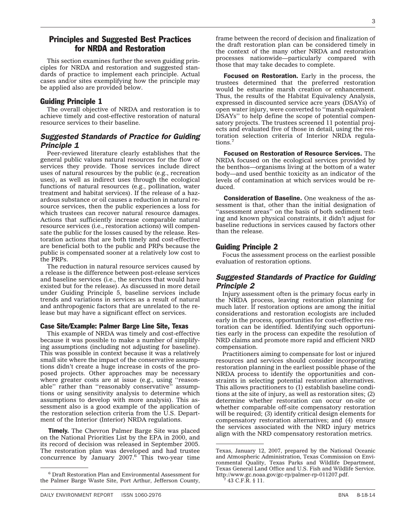## Principles and Suggested Best Practices for NRDA and Restoration

This section examines further the seven guiding principles for NRDA and restoration and suggested standards of practice to implement each principle. Actual cases and/or sites exemplifying how the principle may be applied also are provided below.

#### Guiding Principle 1

The overall objective of NRDA and restoration is to achieve timely and cost-effective restoration of natural resource services to their baseline.

## *Suggested Standards of Practice for Guiding Principle 1*

Peer-reviewed literature clearly establishes that the general public values natural resources for the flow of services they provide. Those services include direct uses of natural resources by the public (e.g., recreation uses), as well as indirect uses through the ecological functions of natural resources (e.g., pollination, water treatment and habitat services). If the release of a hazardous substance or oil causes a reduction in natural resource services, then the public experiences a loss for which trustees can recover natural resource damages. Actions that sufficiently increase comparable natural resource services (i.e., restoration actions) will compensate the public for the losses caused by the release. Restoration actions that are both timely and cost-effective are beneficial both to the public and PRPs because the public is compensated sooner at a relatively low cost to the PRPs.

The reduction in natural resource services caused by a release is the difference between post-release services and baseline services (i.e., the services that would have existed but for the release). As discussed in more detail under Guiding Principle 5, baseline services include trends and variations in services as a result of natural and anthropogenic factors that are unrelated to the release but may have a significant effect on services.

#### Case Site/Example: Palmer Barge Line Site, Texas

This example of NRDA was timely and cost-effective because it was possible to make a number of simplifying assumptions (including not adjusting for baseline). This was possible in context because it was a relatively small site where the impact of the conservative assumptions didn't create a huge increase in costs of the proposed projects. Other approaches may be necessary where greater costs are at issue (e.g., using ''reasonable" rather than "reasonably conservative" assumptions or using sensitivity analysis to determine which assumptions to develop with more analysis). This assessment also is a good example of the application of the restoration selection criteria from the U.S. Department of the Interior (Interior) NRDA regulations.

**Timely.** The Chevron Palmer Barge Site was placed on the National Priorities List by the EPA in 2000, and its record of decision was released in September 2005. The restoration plan was developed and had trustee concurrence by January  $2007.6$  This two-year time frame between the record of decision and finalization of the draft restoration plan can be considered timely in the context of the many other NRDA and restoration processes nationwide—particularly compared with those that may take decades to complete.

Focused on Restoration. Early in the process, the trustees determined that the preferred restoration would be estuarine marsh creation or enhancement. Thus, the results of the Habitat Equivalency Analysis, expressed in discounted service acre years (DSAYs) of open water injury, were converted to ''marsh equivalent DSAYs'' to help define the scope of potential compensatory projects. The trustees screened 11 potential projects and evaluated five of those in detail, using the restoration selection criteria of Interior NRDA regulations.<sup>7</sup>

Focused on Restoration of Resource Services. The NRDA focused on the ecological services provided by the benthos—organisms living at the bottom of a water body—and used benthic toxicity as an indicator of the levels of contamination at which services would be reduced.

Consideration of Baseline. One weakness of the assessment is that, other than the initial designation of "assessment areas" on the basis of both sediment testing and known physical constraints, it didn't adjust for baseline reductions in services caused by factors other than the release.

## Guiding Principle 2

Focus the assessment process on the earliest possible evaluation of restoration options.

## *Suggested Standards of Practice for Guiding Principle 2*

Injury assessment often is the primary focus early in the NRDA process, leaving restoration planning for much later. If restoration options are among the initial considerations and restoration ecologists are included early in the process, opportunities for cost-effective restoration can be identified. Identifying such opportunities early in the process can expedite the resolution of NRD claims and promote more rapid and efficient NRD compensation.

Practitioners aiming to compensate for lost or injured resources and services should consider incorporating restoration planning in the earliest possible phase of the NRDA process to identify the opportunities and constraints in selecting potential restoration alternatives. This allows practitioners to (1) establish baseline conditions at the site of injury, as well as restoration sites; (2) determine whether restoration can occur on-site or whether comparable off-site compensatory restoration will be required; (3) identify critical design elements for compensatory restoration alternatives; and (4) ensure the services associated with the NRD injury metrics align with the NRD compensatory restoration metrics.

<sup>6</sup> Draft Restoration Plan and Environmental Assessment for the Palmer Barge Waste Site, Port Arthur, Jefferson County,

Texas, January 12, 2007, prepared by the National Oceanic and Atmospheric Administration, Texas Commission on Environmental Quality, Texas Parks and Wildlife Department, Texas General Land Office and U.S. Fish and Wildlife Service. [http://www.gc.noaa.gov/gc-rp/palmer-rp-011207.pdf.](http://www.gc.noaa.gov/gc-rp/palmer-rp-011207.pdf) <sup>7</sup> 43 C.F.R. § 11.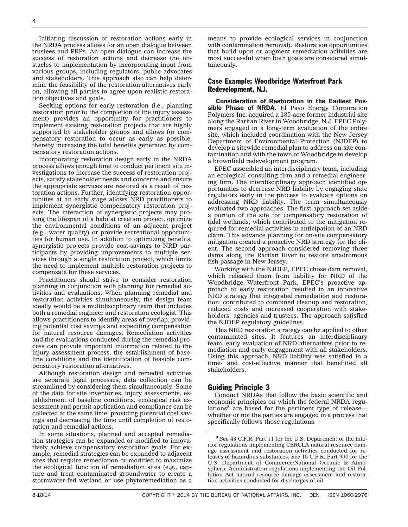Initiating discussion of restoration actions early in the NRDA process allows for an open dialogue between trustees and PRPs. An open dialogue can increase the success of restoration actions and decrease the obstacles to implementation by incorporating input from various groups, including regulators, public advocates and stakeholders. This approach also can help determine the feasibility of the restoration alternatives early on, allowing all parties to agree upon realistic restoration objectives and goals.

Seeking options for early restoration (i.e., planning restoration prior to the completion of the injury assessment) provides an opportunity for practitioners to implement existing restoration projects that are highly supported by stakeholder groups and allows for compensatory restoration to occur as early as possible, thereby increasing the total benefits generated by compensatory restoration actions.

Incorporating restoration design early in the NRDA process allows enough time to conduct pertinent site investigations to increase the success of restoration projects, satisfy stakeholder needs and concerns and ensure the appropriate services are restored as a result of restoration actions. Further, identifying restoration opportunities at an early stage allows NRD practitioners to implement synergistic compensatory restoration projects. The interaction of synergistic projects may prolong the lifespan of a habitat creation project, optimize the environmental conditions of an adjacent project (e.g., water quality) or provide recreational opportunities for human use. In addition to optimizing benefits, synergistic projects provide cost-savings to NRD participants by providing improvements to multiple services through a single restoration project, which limits the need to implement multiple restoration projects to compensate for these services.

Practitioners should strive to consider restoration planning in conjunction with planning for remedial activities and evaluations. When planning remedial and restoration activities simultaneously, the design team ideally would be a multidisciplinary team that includes both a remedial engineer and restoration ecologist. This allows practitioners to identify areas of overlap, providing potential cost savings and expediting compensation for natural resource damages. Remediation activities and the evaluations conducted during the remedial process can provide important information related to the injury assessment process, the establishment of baseline conditions and the identification of feasible compensatory restoration alternatives.

Although restoration design and remedial activities are separate legal processes, data collection can be streamlined by considering them simultaneously. Some of the data for site inventories, injury assessments, establishment of baseline conditions, ecological risk assessment and permit application and compliance can be collected at the same time, providing potential cost savings and decreasing the time until completion of restoration and remedial actions.

In some situations, planned and accepted remediation strategies can be expanded or modified to innovatively achieve compensatory restoration goals. For example, remedial strategies can be expanded to adjacent sites that require remediation or modified to maximize the ecological function of remediation sites (e.g., capture and treat contaminated groundwater to create a stormwater-fed wetland or use phytoremediation as a means to provide ecological services in conjunction with contamination removal). Restoration opportunities that build upon or augment remediation activities are most successful when both goals are considered simultaneously.

#### Case Example: Woodbridge Waterfront Park Redevelopment, N.J.

Consideration of Restoration in the Earliest Possible Phase of NRDA. El Paso Energy Corporation Polymers Inc. acquired a 185-acre former industrial site along the Raritan River in Woodbridge, N.J. EPEC Polymers engaged in a long-term evaluation of the entire site, which included coordination with the New Jersey Department of Environmental Protection (NJDEP) to develop a sitewide remedial plan to address on-site contamination and with the town of Woodbridge to develop a brownfield redevelopment program.

EPEC assembled an interdisciplinary team, including an ecological consulting firm and a remedial engineering firm. The interdisciplinary approach identified opportunities to decrease NRD liability by engaging state regulators early in the process to evaluate options on addressing NRD liability. The team simultaneously evaluated two approaches. The first approach set aside a portion of the site for compensatory restoration of tidal wetlands, which contributed to the mitigation required for remedial activities in anticipation of an NRD claim. This advance planning for on-site compensatory mitigation created a proactive NRD strategy for the client. The second approach considered removing three dams along the Raritan River to restore anadromous fish passage in New Jersey.

Working with the NJDEP, EPEC chose dam removal, which released them from liability for NRD of the Woodbridge Waterfront Park. EPEC's proactive approach to early restoration resulted in an innovative NRD strategy that integrated remediation and restoration, contributed to combined cleanup and restoration, reduced costs and increased cooperation with stakeholders, agencies and trustees. The approach satisfied the NJDEP regulatory guidelines.

This NRD restoration strategy can be applied to other contaminated sites. It features an interdisciplinary team, early evaluation of NRD alternatives prior to remediation and early engagement with all stakeholders. Using this approach, NRD liability was satisfied in a time- and cost-effective manner that benefitted all stakeholders.

#### Guiding Principle 3

Conduct NRDAs that follow the basic scientific and economic principles on which the federal NRDA regulations<sup>8</sup> are based for the pertinent type of release whether or not the parties are engaged in a process that specifically follows those regulations.

<sup>8</sup> *See* 43 C.F.R. Part 11 for the U.S. Department of the Interior regulations implementing CERCLA natural resource damage assessment and restoration activities conducted for releases of hazardous substances. *See* 15 C.F.R. Part 990 for the U.S. Department of Commerce/National Oceanic & Atmospheric Administration regulations implementing the Oil Pollution Act natural resource damage assessment and restoration activities conducted for discharges of oil.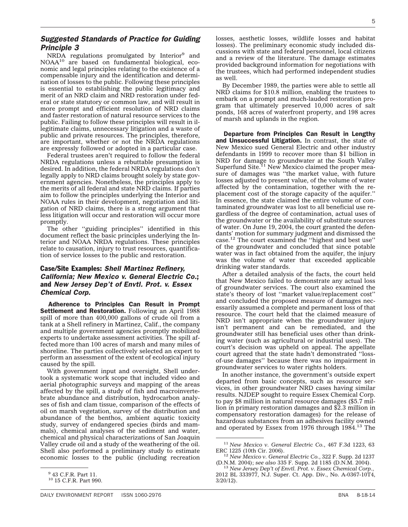## *Suggested Standards of Practice for Guiding Principle 3*

NRDA regulations promulgated by Interior<sup>9</sup> and NOAA<sup>10</sup> are based on fundamental biological, economic and legal principles relating to the existence of a compensable injury and the identification and determination of losses to the public. Following these principles is essential to establishing the public legitimacy and merit of an NRD claim and NRD restoration under federal or state statutory or common law, and will result in more prompt and efficient resolution of NRD claims and faster restoration of natural resource services to the public. Failing to follow these principles will result in illegitimate claims, unnecessary litigation and a waste of public and private resources. The principles, therefore, are important, whether or not the NRDA regulations are expressly followed or adopted in a particular case.

Federal trustees aren't required to follow the federal NRDA regulations unless a rebuttable presumption is desired. In addition, the federal NRDA regulations don't legally apply to NRD claims brought solely by state government agencies. Nonetheless, the principles apply to the merits of all federal and state NRD claims. If parties aim to follow the principles underlying the Interior and NOAA rules in their development, negotiation and litigation of NRD claims, there is a strong argument that less litigation will occur and restoration will occur more promptly.

The other ''guiding principles'' identified in this document reflect the basic principles underlying the Interior and NOAA NRDA regulations. These principles relate to causation, injury to trust resources, quantification of service losses to the public and restoration.

## Case/Site Examples: *Shell Martinez Refinery, California; New Mexico v. General Electric Co.*; and *New Jersey Dep't of Envtl. Prot. v. Essex Chemical Corp.*

Adherence to Principles Can Result in Prompt Settlement and Restoration. Following an April 1988 spill of more than 400,000 gallons of crude oil from a tank at a Shell refinery in Martinez, Calif., the company and multiple government agencies promptly mobilized experts to undertake assessment activities. The spill affected more than 100 acres of marsh and many miles of shoreline. The parties collectively selected an expert to perform an assessment of the extent of ecological injury caused by the spill.

With government input and oversight, Shell undertook a systematic work scope that included video and aerial photographic surveys and mapping of the areas affected by the spill, a study of fish and macroinvertebrate abundance and distribution, hydrocarbon analyses of fish and clam tissue, comparison of the effects of oil on marsh vegetation, survey of the distribution and abundance of the benthos, ambient aquatic toxicity study, survey of endangered species (birds and mammals), chemical analyses of the sediment and water, chemical and physical characterizations of San Joaquin Valley crude oil and a study of the weathering of the oil. Shell also performed a preliminary study to estimate economic losses to the public (including recreation losses, aesthetic losses, wildlife losses and habitat losses). The preliminary economic study included discussions with state and federal personnel, local citizens and a review of the literature. The damage estimates provided background information for negotiations with the trustees, which had performed independent studies as well.

By December 1989, the parties were able to settle all NRD claims for \$10.8 million, enabling the trustees to embark on a prompt and much-lauded restoration program that ultimately preserved 10,000 acres of salt ponds, 168 acres of waterfront property, and 198 acres of marsh and uplands in the region.

Departure from Principles Can Result in Lengthy and Unsuccessful Litigation. In contrast, the state of New Mexico sued General Electric and other industry defendants in 1999 to recover more than \$1 billion in NRD for damage to groundwater at the South Valley Superfund Site. $11$  New Mexico claimed the proper measure of damages was ''the market value, with future losses adjusted to present value, of the volume of water affected by the contamination, together with the replacement cost of the storage capacity of the aquifer.'' In essence, the state claimed the entire volume of contaminated groundwater was lost to all beneficial use regardless of the degree of contamination, actual uses of the groundwater or the availability of substitute sources of water. On June 19, 2004, the court granted the defendants' motion for summary judgment and dismissed the case.12 The court examined the ''highest and best use'' of the groundwater and concluded that since potable water was in fact obtained from the aquifer, the injury was the volume of water that exceeded applicable drinking water standards.

After a detailed analysis of the facts, the court held that New Mexico failed to demonstrate any actual loss of groundwater services. The court also examined the state's theory of lost ''market value/replacement cost'' and concluded the proposed measure of damages necessarily assumed a complete and permanent loss of that resource. The court held that the claimed measure of NRD isn't appropriate when the groundwater injury isn't permanent and can be remediated, and the groundwater still has beneficial uses other than drinking water (such as agricultural or industrial uses). The court's decision was upheld on appeal. The appellate court agreed that the state hadn't demonstrated ''lossof-use damages'' because there was no impairment in groundwater services to water rights holders.

In another instance, the government's outside expert departed from basic concepts, such as resource services, in other groundwater NRD cases having similar results. NJDEP sought to require Essex Chemical Corp. to pay \$8 million in natural resource damages (\$5.7 million in primary restoration damages and \$2.3 million in compensatory restoration damages) for the release of hazardous substances from an adhesives facility owned and operated by Essex from 1976 through 1984.<sup>13</sup> The

<sup>9</sup> 43 C.F.R. Part 11.

<sup>10</sup> 15 C.F.R. Part 990.

<sup>11</sup> *New Mexico v. General Electric Co.*, 467 F.3d 1223, 63

<sup>&</sup>lt;sup>12</sup> New Mexico v. General Electric Co., 322 F. Supp. 2d 1237 (D.N.M. 2004); *see also* 335 F. Supp. 2d 1185 (D.N.M. 2004). <sup>13</sup> *New Jersey Dep't of Envtl. Prot. v. Essex Chemical Corp.*,

<sup>2012</sup> BL 333977, N.J. Super. Ct. App. Div., No. A-0367-10T4, 3/20/12).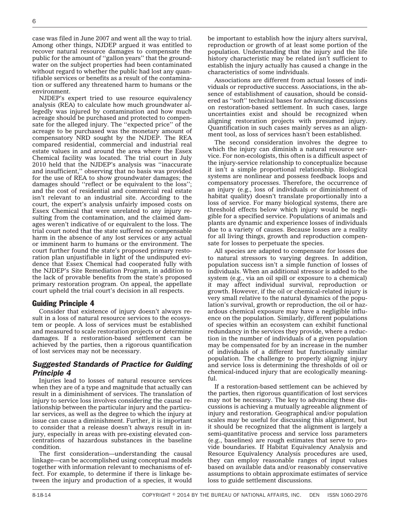case was filed in June 2007 and went all the way to trial. Among other things, NJDEP argued it was entitled to recover natural resource damages to compensate the public for the amount of ''gallon years'' that the groundwater on the subject properties had been contaminated without regard to whether the public had lost any quantifiable services or benefits as a result of the contamination or suffered any threatened harm to humans or the environment.

NJDEP's expert tried to use resource equivalency analysis (REA) to calculate how much groundwater allegedly was injured by contamination and how much acreage should be purchased and protected to compensate for the alleged injury. The ''expected price'' of the acreage to be purchased was the monetary amount of compensatory NRD sought by the NJDEP. The REA compared residential, commercial and industrial real estate values in and around the area where the Essex Chemical facility was located. The trial court in July 2010 held that the NJDEP's analysis was ''inaccurate and insufficient,'' observing that no basis was provided for the use of REA to show groundwater damages; the damages should ''reflect or be equivalent to the loss''; and the cost of residential and commercial real estate isn't relevant to an industrial site. According to the court, the expert's analysis unfairly imposed costs on Essex Chemical that were unrelated to any injury resulting from the contamination, and the claimed damages weren't indicative of or equivalent to the loss. The trial court noted that the state suffered no compensable harm in the absence of any lost services or any actual or imminent harm to humans or the environment. The court further found the state's proposed primary restoration plan unjustifiable in light of the undisputed evidence that Essex Chemical had cooperated fully with the NJDEP's Site Remediation Program, in addition to the lack of provable benefits from the state's proposed primary restoration program. On appeal, the appellate court upheld the trial court's decision in all respects.

#### Guiding Principle 4

Consider that existence of injury doesn't always result in a loss of natural resource services to the ecosystem or people. A loss of services must be established and measured to scale restoration projects or determine damages. If a restoration-based settlement can be achieved by the parties, then a rigorous quantification of lost services may not be necessary.

## *Suggested Standards of Practice for Guiding Principle 4*

Injuries lead to losses of natural resource services when they are of a type and magnitude that actually can result in a diminishment of services. The translation of injury to service loss involves considering the causal relationship between the particular injury and the particular services, as well as the degree to which the injury at issue can cause a diminishment. Further, it is important to consider that a release doesn't always result in injury, especially in areas with pre-existing elevated concentrations of hazardous substances in the baseline condition.

The first consideration—understanding the causal linkage—can be accomplished using conceptual models together with information relevant to mechanisms of effect. For example, to determine if there is linkage between the injury and production of a species, it would be important to establish how the injury alters survival, reproduction or growth of at least some portion of the population. Understanding that the injury and the life history characteristic may be related isn't sufficient to establish the injury actually has caused a change in the characteristics of some individuals.

Associations are different from actual losses of individuals or reproductive success. Associations, in the absence of establishment of causation, should be considered as ''soft'' technical bases for advancing discussions on restoration-based settlement. In such cases, large uncertainties exist and should be recognized when aligning restoration projects with presumed injury. Quantification in such cases mainly serves as an alignment tool, as loss of services hasn't been established.

The second consideration involves the degree to which the injury can diminish a natural resource service. For non-ecologists, this often is a difficult aspect of the injury-service relationship to conceptualize because it isn't a simple proportional relationship. Biological systems are nonlinear and possess feedback loops and compensatory processes. Therefore, the occurrence of an injury (e.g., loss of individuals or diminishment of habitat quality) doesn't translate proportionally into a loss of service. For many biological systems, there are threshold effects below which injury would be negligible for a specified service. Populations of animals and plants are dynamic and experience losses of individuals due to a variety of causes. Because losses are a reality for all living things, growth and reproduction compensate for losses to perpetuate the species.

All species are adapted to compensate for losses due to natural stressors to varying degrees. In addition, population success isn't a simple function of losses of individuals. When an additional stressor is added to the system (e.g., via an oil spill or exposure to a chemical) it may affect individual survival, reproduction or growth. However, if the oil or chemical-related injury is very small relative to the natural dynamics of the population's survival, growth or reproduction, the oil or hazardous chemical exposure may have a negligible influence on the population. Similarly, different populations of species within an ecosystem can exhibit functional redundancy in the services they provide, where a reduction in the number of individuals of a given population may be compensated for by an increase in the number of individuals of a different but functionally similar population. The challenge to properly aligning injury and service loss is determining the thresholds of oil or chemical-induced injury that are ecologically meaningful.

If a restoration-based settlement can be achieved by the parties, then rigorous quantification of lost services may not be necessary. The key to advancing these discussions is achieving a mutually agreeable alignment of injury and restoration. Geographical and/or population scales may be useful for discussing this alignment, but it should be recognized that the alignment is largely a semi-quantitative process and service loss parameters (e.g., baselines) are rough estimates that serve to provide boundaries. If Habitat Equivalency Analysis and Resource Equivalency Analysis procedures are used, they can employ reasonable ranges of input values based on available data and/or reasonably conservative assumptions to obtain approximate estimates of service loss to guide settlement discussions.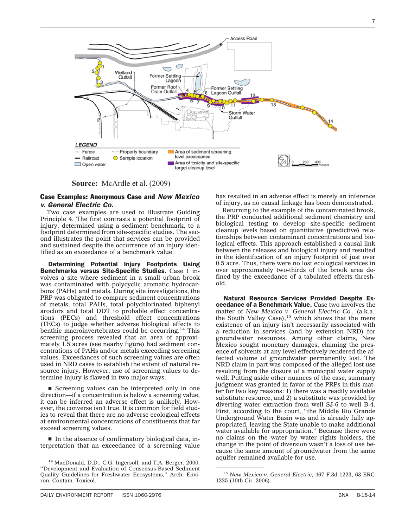

**Source:** McArdle et al. (2009)

#### Case Examples: Anonymous Case and *New Mexico v. General Electric Co.*

Two case examples are used to illustrate Guiding Principle 4. The first contrasts a potential footprint of injury, determined using a sediment benchmark, to a footprint determined from site-specific studies. The second illustrates the point that services can be provided and sustained despite the occurrence of an injury identified as an exceedance of a benchmark value.

Determining Potential Injury Footprints Using Benchmarks versus Site-Specific Studies. Case 1 involves a site where sediment in a small urban brook was contaminated with polycyclic aromatic hydrocarbons (PAHs) and metals. During site investigations, the PRP was obligated to compare sediment concentrations of metals, total PAHs, total polychlorinated biphenyl aroclors and total DDT to probable effect concentrations (PECs) and threshold effect concentrations (TECs) to judge whether adverse biological effects to benthic macroinvertebrates could be occurring.<sup>14</sup> This screening process revealed that an area of approximately 1.5 acres (see nearby figure) had sediment concentrations of PAHs and/or metals exceeding screening values. Exceedances of such screening values are often used in NRD cases to establish the extent of natural resource injury. However, use of screening values to determine injury is flawed in two major ways:

Screening values can be interpreted only in one direction—if a concentration is below a screening value, it can be inferred an adverse effect is unlikely. However, the converse isn't true. It is common for field studies to reveal that there are no adverse ecological effects at environmental concentrations of constituents that far exceed screening values.

 $\blacksquare$  In the absence of confirmatory biological data, interpretation that an exceedance of a screening value has resulted in an adverse effect is merely an inference of injury, as no causal linkage has been demonstrated.

Returning to the example of the contaminated brook, the PRP conducted additional sediment chemistry and biological testing to develop site-specific sediment cleanup levels based on quantitative (predictive) relationships between contaminant concentrations and biological effects. This approach established a causal link between the releases and biological injury and resulted in the identification of an injury footprint of just over 0.5 acre. Thus, there were no lost ecological services in over approximately two-thirds of the brook area defined by the exceedance of a tabulated effects threshold.

Natural Resource Services Provided Despite Exceedance of a Benchmark Value. Case two involves the matter of *New Mexico v. General Electric Co., (a.k.a.*)<br>the South Valley Case),<sup>15</sup> which shows that the mere existence of an injury isn't necessarily associated with a reduction in services (and by extension NRD) for groundwater resources. Among other claims, New Mexico sought monetary damages, claiming the presence of solvents at any level effectively rendered the affected volume of groundwater permanently lost. The NRD claim in part was composed of the alleged lost use resulting from the closure of a municipal water supply well. Putting aside other nuances of the case, summary judgment was granted in favor of the PRPs in this matter for two key reasons: 1) there was a readily available substitute resource, and 2) a substitute was provided by diverting water extraction from well SJ-6 to well B-4. First, according to the court, ''the Middle Rio Grande Underground Water Basin was and is already fully appropriated, leaving the State unable to make additional water available for appropriation.'' Because there were no claims on the water by water rights holders, the change in the point of diversion wasn't a loss of use because the same amount of groundwater from the same

<sup>&</sup>lt;sup>14</sup> MacDonald, D.D., C.G. Ingersoll, and T.A. Berger. 2000. ''Development and Evaluation of Consensus-Based Sediment Quality Guidelines for Freshwater Ecosystems,'' Arch. Environ. Contam. Toxicol.

<sup>15</sup> *New Mexico v. General Electric*, 467 F.3d 1223, 63 ERC 1225 (10th Cir. 2006).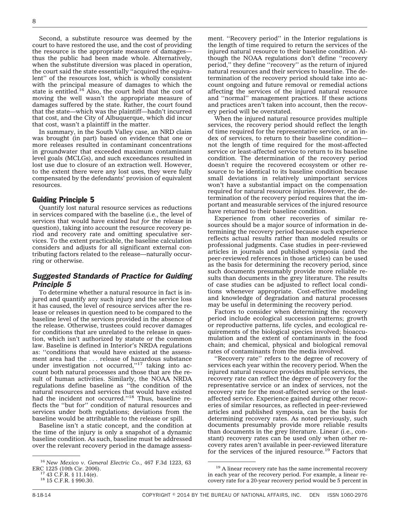Second, a substitute resource was deemed by the court to have restored the use, and the cost of providing the resource is the appropriate measure of damages thus the public had been made whole. Alternatively, when the substitute diversion was placed in operation, the court said the state essentially ''acquired the equivalent'' of the resources lost, which is wholly consistent with the principal measure of damages to which the state is entitled.<sup>16</sup> Also, the court held that the cost of moving the well wasn't the appropriate measure of damages suffered by the state. Rather, the court found that the state—which was the plaintiff—hadn't incurred that cost, and the City of Albuquerque, which did incur that cost, wasn't a plaintiff in the matter.

In summary, in the South Valley case, an NRD claim was brought (in part) based on evidence that one or more releases resulted in contaminant concentrations in groundwater that exceeded maximum contaminant level goals (MCLGs), and such exceedances resulted in lost use due to closure of an extraction well. However, to the extent there were any lost uses, they were fully compensated by the defendants' provision of equivalent resources.

#### Guiding Principle 5

Quantify lost natural resource services as reductions in services compared with the baseline (i.e., the level of services that would have existed *but for* the release in question), taking into account the resource recovery period and recovery rate and omitting speculative services. To the extent practicable, the baseline calculation considers and adjusts for all significant external contributing factors related to the release—naturally occurring or otherwise.

## *Suggested Standards of Practice for Guiding Principle 5*

To determine whether a natural resource in fact is injured and quantify any such injury and the service loss it has caused, the level of resource services after the release or releases in question need to be compared to the baseline level of the services provided in the absence of the release. Otherwise, trustees could recover damages for conditions that are unrelated to the release in question, which isn't authorized by statute or the common law. Baseline is defined in Interior's NRDA regulations as: ''conditions that would have existed at the assessment area had the . . . release of hazardous substance under investigation not occurred,"<sup>17</sup> taking into account both natural processes and those that are the result of human activities. Similarly, the NOAA NRDA regulations define baseline as ''the condition of the natural resources and services that would have existed had the incident not occurred.''18 Thus, baseline reflects the ''but for'' condition of natural resources and services under both regulations; deviations from the baseline would be attributable to the release or spill.

Baseline isn't a static concept, and the condition at the time of the injury is only a snapshot of a dynamic baseline condition. As such, baseline must be addressed over the relevant recovery period in the damage assess-

ment. ''Recovery period'' in the Interior regulations is the length of time required to return the services of the injured natural resource to their baseline condition. Although the NOAA regulations don't define ''recovery period,'' they define ''recovery'' as the return of injured natural resources and their services to baseline. The determination of the recovery period should take into account ongoing and future removal or remedial actions affecting the services of the injured natural resource and ''normal'' management practices. If these actions and practices aren't taken into account, then the recovery period will be overstated.

When the injured natural resource provides multiple services, the recovery period should reflect the length of time required for the representative service, or an index of services, to return to their baseline condition not the length of time required for the most-affected service or least-affected service to return to its baseline condition. The determination of the recovery period doesn't require the recovered ecosystem or other resource to be identical to its baseline condition because small deviations in relatively unimportant services won't have a substantial impact on the compensation required for natural resource injuries. However, the determination of the recovery period requires that the important and measurable services of the injured resource have returned to their baseline condition.

Experience from other recoveries of similar resources should be a major source of information in determining the recovery period because such experience reflects actual results rather than modeled results or professional judgments. Case studies in peer-reviewed articles in journals and published symposia (and the peer-reviewed references in those articles) can be used as the basis for determining the recovery period, since such documents presumably provide more reliable results than documents in the grey literature. The results of case studies can be adjusted to reflect local conditions whenever appropriate. Cost-effective modeling and knowledge of degradation and natural processes may be useful in determining the recovery period.

Factors to consider when determining the recovery period include ecological succession patterns; growth or reproductive patterns, life cycles, and ecological requirements of the biological species involved; bioaccumulation and the extent of contaminants in the food chain; and chemical, physical and biological removal rates of contaminants from the media involved.

''Recovery rate'' refers to the degree of recovery of services each year within the recovery period. When the injured natural resource provides multiple services, the recovery rate can reflect the degree of recovery for the representative service or an index of services, not the recovery rate for the most-affected service or the leastaffected service. Experience gained during other recoveries of similar resources, as reflected in peer-reviewed articles and published symposia, can be the basis for determining recovery rates. As noted previously, such documents presumably provide more reliable results than documents in the grey literature. Linear (i.e., constant) recovery rates can be used only when other recovery rates aren't available in peer-reviewed literature for the services of the injured resource.<sup>19</sup> Factors that

<sup>16</sup> *New Mexico v. General Electric Co.*, 467 F.3d 1223, 63

<sup>&</sup>lt;sup>17</sup> 43 C.F.R. § 11.14(e). <sup>18</sup> 15 C.F.R. § 990.30.

<sup>&</sup>lt;sup>19</sup> A linear recovery rate has the same incremental recovery in each year of the recovery period. For example, a linear recovery rate for a 20-year recovery period would be 5 percent in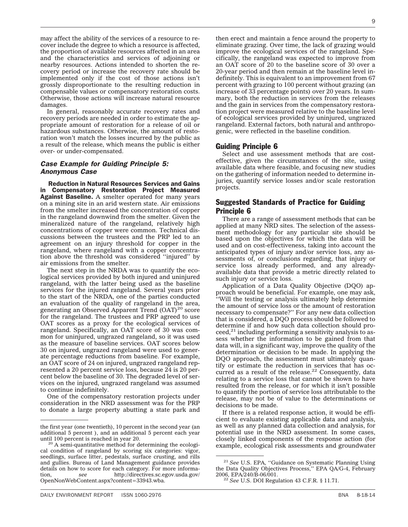may affect the ability of the services of a resource to recover include the degree to which a resource is affected, the proportion of available resources affected in an area and the characteristics and services of adjoining or nearby resources. Actions intended to shorten the recovery period or increase the recovery rate should be implemented only if the cost of those actions isn't grossly disproportionate to the resulting reduction in compensable values or compensatory restoration costs. Otherwise, those actions will increase natural resource damages.

In general, reasonably accurate recovery rates and recovery periods are needed in order to estimate the appropriate amount of restoration for a release of oil or hazardous substances. Otherwise, the amount of restoration won't match the losses incurred by the public as a result of the release, which means the public is either over- or under-compensated.

## *Case Example for Guiding Principle 5: Anonymous Case*

Reduction in Natural Resources Services and Gains in Compensatory Restoration Project Measured Against Baseline. A smelter operated for many years on a mining site in an arid western state. Air emissions from the smelter increased the concentration of copper in the rangeland downwind from the smelter. Given the mineralized nature of the rangeland, relatively high concentrations of copper were common. Technical discussions between the trustees and the PRP led to an agreement on an injury threshold for copper in the rangeland, where rangeland with a copper concentration above the threshold was considered ''injured'' by air emissions from the smelter.

The next step in the NRDA was to quantify the ecological services provided by both injured and uninjured rangeland, with the latter being used as the baseline services for the injured rangeland. Several years prior to the start of the NRDA, one of the parties conducted an evaluation of the quality of rangeland in the area, generating an Observed Apparent Trend  $(OAT)^{20}$  score for the rangeland. The trustees and PRP agreed to use OAT scores as a proxy for the ecological services of rangeland. Specifically, an OAT score of 30 was common for uninjured, ungrazed rangeland, so it was used as the measure of baseline services. OAT scores below 30 on injured, ungrazed rangeland were used to generate percentage reductions from baseline. For example, an OAT score of 24 on injured, ungrazed rangeland represented a 20 percent service loss, because 24 is 20 percent below the baseline of 30. The degraded level of services on the injured, ungrazed rangeland was assumed to continue indefinitely.

One of the compensatory restoration projects under consideration in the NRD assessment was for the PRP to donate a large property abutting a state park and

then erect and maintain a fence around the property to eliminate grazing. Over time, the lack of grazing would improve the ecological services of the rangeland. Specifically, the rangeland was expected to improve from an OAT score of 20 to the baseline score of 30 over a 20-year period and then remain at the baseline level indefinitely. This is equivalent to an improvement from 67 percent with grazing to 100 percent without grazing (an increase of 33 percentage points) over 20 years. In summary, both the reduction in services from the releases and the gain in services from the compensatory restoration project were measured relative to the baseline level of ecological services provided by uninjured, ungrazed rangeland. External factors, both natural and anthropogenic, were reflected in the baseline condition.

## Guiding Principle 6

Select and use assessment methods that are costeffective, given the circumstances of the site, using available data where feasible, and focusing new studies on the gathering of information needed to determine injuries, quantify service losses and/or scale restoration projects.

## Suggested Standards of Practice for Guiding Principle 6

There are a range of assessment methods that can be applied at many NRD sites. The selection of the assessment methodology for any particular site should be based upon the objectives for which the data will be used and on cost-effectiveness, taking into account the anticipated types of injury and/or service loss, any assessments of, or conclusions regarding, that injury or service loss already performed, and any alreadyavailable data that provide a metric directly related to such injury or service loss.

Application of a Data Quality Objective (DQO) approach would be beneficial. For example, one may ask, ''Will the testing or analysis ultimately help determine the amount of service loss or the amount of restoration necessary to compensate?'' For any new data collection that is considered, a DQO process should be followed to determine if and how such data collection should pro- $\text{ceed},^{21}$  including performing a sensitivity analysis to assess whether the information to be gained from that data will, in a significant way, improve the quality of the determination or decision to be made. In applying the DQO approach, the assessment must ultimately quantify or estimate the reduction in services that has occurred as a result of the release.<sup>22</sup> Consequently, data relating to a service loss that cannot be shown to have resulted from the release, or for which it isn't possible to quantify the portion of service loss attributable to the release, may not be of value to the determinations or decisions to be made.

If there is a related response action, it would be efficient to evaluate existing applicable data and analysis, as well as any planned data collection and analysis, for potential use in the NRD assessment. In some cases, closely linked components of the response action (for example, ecological risk assessments and groundwater

the first year (one twentieth), 10 percent in the second year (an additional 5 percent ), and an additional 5 percent each year

 $20$  A semi-quantitative method for determining the ecological condition of rangeland by scoring six categories: vigor, seedlings, surface litter, pedestals, surface crusting, and rills and gullies. Bureau of Land Management guidance provides details on how to score for each category. For more information, *see* [http://directives.sc.egov.usda.gov/](http://directives.sc.egov.usda.gov/OpenNonWebContent.aspx?content=33943.wba) [OpenNonWebContent.aspx?content=33943.wba.](http://directives.sc.egov.usda.gov/OpenNonWebContent.aspx?content=33943.wba)

<sup>21</sup> *See* U.S. EPA, ''Guidance on Systematic Planning Using the Data Quality Objectives Process," EPA QA/G-4, February 2006, EPA/240/B-06/001.

<sup>&</sup>lt;sup>22</sup> See U.S. DOI Regulation 43 C.F.R. § 11.71.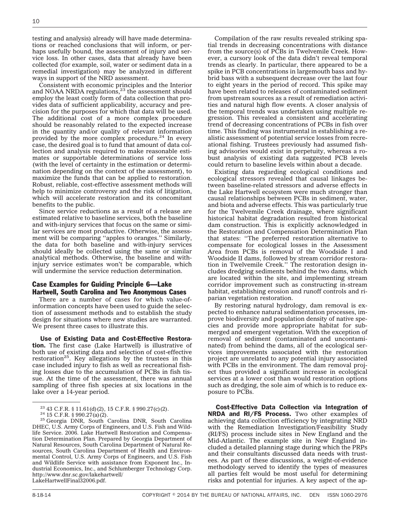testing and analysis) already will have made determinations or reached conclusions that will inform, or perhaps usefully bound, the assessment of injury and service loss. In other cases, data that already have been collected (for example, soil, water or sediment data in a remedial investigation) may be analyzed in different ways in support of the NRD assessment.

Consistent with economic principles and the Interior and NOAA NRDA regulations, $23$  the assessment should employ the least costly form of data collection that provides data of sufficient applicability, accuracy and precision for the purposes for which that data will be used. The additional cost of a more complex procedure should be reasonably related to the expected increase in the quantity and/or quality of relevant information provided by the more complex procedure.<sup>24</sup> In every case, the desired goal is to fund that amount of data collection and analysis required to make reasonable estimates or supportable determinations of service loss (with the level of certainty in the estimation or determination depending on the context of the assessment), to maximize the funds that can be applied to restoration. Robust, reliable, cost-effective assessment methods will help to minimize controversy and the risk of litigation, which will accelerate restoration and its concomitant benefits to the public.

Since service reductions as a result of a release are estimated relative to baseline services, both the baseline and with-injury services that focus on the same or similar services are most productive. Otherwise, the assessment will be comparing ''apples to oranges.'' Similarly, the data for both baseline and with-injury services should ideally be collected using the same or similar analytical methods. Otherwise, the baseline and withinjury service estimates won't be comparable, which will undermine the service reduction determination.

## Case Examples for Guiding Principle 6—Lake Hartwell, South Carolina and Two Anonymous Cases

There are a number of cases for which value-ofinformation concepts have been used to guide the selection of assessment methods and to establish the study design for situations where new studies are warranted. We present three cases to illustrate this.

Use of Existing Data and Cost-Effective Restoration. The first case (Lake Hartwell) is illustrative of both use of existing data and selection of cost-effective restoration<sup>25</sup>. Key allegations by the trustees in this case included injury to fish as well as recreational fishing losses due to the accumulation of PCBs in fish tissue. At the time of the assessment, there was annual sampling of three fish species at six locations in the lake over a 14-year period.

Compilation of the raw results revealed striking spatial trends in decreasing concentrations with distance from the source(s) of PCBs in Twelvemile Creek. However, a cursory look of the data didn't reveal temporal trends as clearly. In particular, there appeared to be a spike in PCB concentrations in largemouth bass and hybrid bass with a subsequent decrease over the last four to eight years in the period of record. This spike may have been related to releases of contaminated sediment from upstream sources as a result of remediation activities and natural high flow events. A closer analysis of the temporal trends was undertaken using multiple regression. This revealed a consistent and accelerating trend of decreasing concentrations of PCBs in fish over time. This finding was instrumental in establishing a realistic assessment of potential service losses from recreational fishing. Trustees previously had assumed fishing advisories would exist in perpetuity, whereas a robust analysis of existing data suggested PCB levels could return to baseline levels within about a decade.

Existing data regarding ecological conditions and ecological stressors revealed that causal linkages between baseline-related stressors and adverse effects in the Lake Hartwell ecosystem were much stronger than causal relationships between PCBs in sediment, water, and biota and adverse effects. This was particularly true for the Twelvemile Creek drainage, where significant historical habitat degradation resulted from historical dam construction. This is explicitly acknowledged in the Restoration and Compensation Determination Plan that states: ''The preferred restoration alternative to compensate for ecological losses in the Assessment Area from PCBs is removal of the Woodside I and Woodside II dams, followed by stream corridor restoration in Twelvemile Creek.'' The restoration design includes dredging sediments behind the two dams, which are located within the site, and implementing stream corridor improvement such as constructing in-stream habitat, establishing erosion and runoff controls and riparian vegetation restoration.

By restoring natural hydrology, dam removal is expected to enhance natural sedimentation processes, improve biodiversity and population density of native species and provide more appropriate habitat for submerged and emergent vegetation. With the exception of removal of sediment (contaminated and uncontaminated) from behind the dams, all of the ecological services improvements associated with the restoration project are unrelated to any potential injury associated with PCBs in the environment. The dam removal project thus provided a significant increase in ecological services at a lower cost than would restoration options such as dredging, the sole aim of which is to reduce exposure to PCBs.

Cost-Effective Data Collection via Integration of NRDA and RI/FS Process. Two other examples of achieving data collection efficiency by integrating NRD with the Remediation Investigation/Feasibility Study (RI/FS) process include sites in New England and the Mid-Atlantic. The example site in New England included a detailed planning stage during which the PRPs and their consultants discussed data needs with trustees. As part of these discussions, a weight-of-evidence methodology served to identify the types of measures all parties felt would be most useful for determining risks and potential for injuries. A key aspect of the ap-

<sup>&</sup>lt;sup>23</sup> 43 C.F.R. § 11.61(d)(2), 15 C.F.R. § 990.27(c)(2).<br><sup>24</sup> 15 C.F.R. § 990.27(a)(2).<br><sup>25</sup> Georgia DNR, South Carolina DNR, South Carolina DHEC, U.S. Army Corps of Engineers, and U.S. Fish and Wildlife Service. 2006. Lake Hartwell Restoration and Compensation Determination Plan. Prepared by Georgia Department of Natural Resources, South Carolina Department of Natural Resources, South Carolina Department of Health and Environmental Control, U.S. Army Corps of Engineers, and U.S. Fish and Wildlife Service with assistance from Exponent Inc., Industrial Economics, Inc., and Schlumberger Technology Corp. [http://www.dnr.sc.gov/lakehartwell/](http://www.dnr.sc.gov/lakehartwell/LakeHartwellFinal32006.pdf) [LakeHartwellFinal32006.pdf.](http://www.dnr.sc.gov/lakehartwell/LakeHartwellFinal32006.pdf)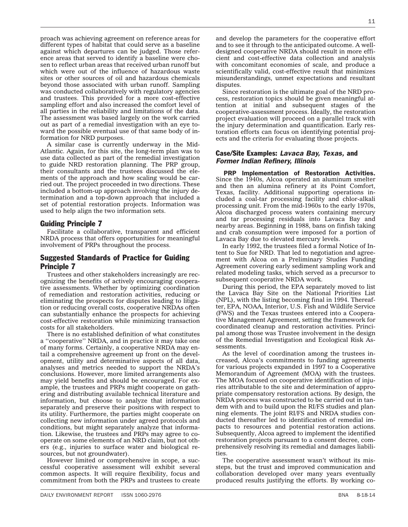proach was achieving agreement on reference areas for different types of habitat that could serve as a baseline against which departures can be judged. Those reference areas that served to identify a baseline were chosen to reflect urban areas that received urban runoff but which were out of the influence of hazardous waste sites or other sources of oil and hazardous chemicals beyond those associated with urban runoff. Sampling was conducted collaboratively with regulatory agencies and trustees. This provided for a more cost-effective sampling effort and also increased the comfort level of all parties in the reliability and limitations of the data. The assessment was based largely on the work carried out as part of a remedial investigation with an eye toward the possible eventual use of that same body of information for NRD purposes.

A similar case is currently underway in the Mid-Atlantic. Again, for this site, the long-term plan was to use data collected as part of the remedial investigation to guide NRD restoration planning. The PRP group, their consultants and the trustees discussed the elements of the approach and how scaling would be carried out. The project proceeded in two directions. These included a bottom-up approach involving the injury determination and a top-down approach that included a set of potential restoration projects. Information was used to help align the two information sets.

## Guiding Principle 7

Facilitate a collaborative, transparent and efficient NRDA process that offers opportunities for meaningful involvement of PRPs throughout the process.

## Suggested Standards of Practice for Guiding Principle 7

Trustees and other stakeholders increasingly are recognizing the benefits of actively encouraging cooperative assessments. Whether by optimizing coordination of remediation and restoration activities, reducing or eliminating the prospects for disputes leading to litigation or reducing overall costs, cooperative NRDAs often can substantially enhance the prospects for achieving cost-effective restoration while minimizing transaction costs for all stakeholders.

There is no established definition of what constitutes a ''cooperative'' NRDA, and in practice it may take one of many forms. Certainly, a cooperative NRDA may entail a comprehensive agreement up front on the development, utility and determinative aspects of all data, analyses and metrics needed to support the NRDA's conclusions. However, more limited arrangements also may yield benefits and should be encouraged. For example, the trustees and PRPs might cooperate on gathering and distributing available technical literature and information, but choose to analyze that information separately and preserve their positions with respect to its utility. Furthermore, the parties might cooperate on collecting new information under agreed protocols and conditions, but might separately analyze that information. Likewise, the trustees and PRPs may agree to cooperate on some elements of an NRD claim, but not others (e.g., injuries to surface water and biological resources, but not groundwater).

However limited or comprehensive in scope, a successful cooperative assessment will exhibit several common aspects. It will require flexibility, focus and commitment from both the PRPs and trustees to create

and develop the parameters for the cooperative effort and to see it through to the anticipated outcome. A welldesigned cooperative NRDA should result in more efficient and cost-effective data collection and analysis with concomitant economies of scale, and produce a scientifically valid, cost-effective result that minimizes misunderstandings, unmet expectations and resultant disputes.

Since restoration is the ultimate goal of the NRD process, restoration topics should be given meaningful attention at initial and subsequent stages of the cooperative-assessment process. Ideally, the restoration project evaluation will proceed on a parallel track with the injury determination and quantification. Early restoration efforts can focus on identifying potential projects and the criteria for evaluating those projects.

## Case/Site Examples: *Lavaca Bay, Texas,* and *Former Indian Refinery, Illinois*

PRP Implementation of Restoration Activities. Since the 1940s, Alcoa operated an aluminum smelter and then an alumina refinery at its Point Comfort, Texas, facility. Additional supporting operations included a coal-tar processing facility and chlor-alkali processing unit. From the mid-1960s to the early 1970s, Alcoa discharged process waters containing mercury and tar processing residuals into Lavaca Bay and nearby areas. Beginning in 1988, bans on finfish taking and crab consumption were imposed for a portion of Lavaca Bay due to elevated mercury levels.

In early 1992, the trustees filed a formal Notice of Intent to Sue for NRD. That led to negotiation and agreement with Alcoa on a Preliminary Studies Funding Agreement covering early sediment sampling work and related modeling tasks, which served as a precursor to subsequent cooperative NRDA work.

During this period, the EPA separately moved to list the Lavaca Bay Site on the National Priorities List (NPL), with the listing becoming final in 1994. Thereafter, EPA, NOAA, Interior, U.S. Fish and Wildlife Service (FWS) and the Texas trustees entered into a Cooperative Management Agreement, setting the framework for coordinated cleanup and restoration activities. Principal among those was Trustee involvement in the design of the Remedial Investigation and Ecological Risk Assessments.

As the level of coordination among the trustees increased, Alcoa's commitments to funding agreements for various projects expanded in 1997 to a Cooperative Memorandum of Agreement (MOA) with the trustees. The MOA focused on cooperative identification of injuries attributable to the site and determination of appropriate compensatory restoration actions. By design, the NRDA process was constructed to be carried out in tandem with and to build upon the RI/FS studies and planning elements. The joint RI/FS and NRDA studies conducted thereafter led to identification of remedial impacts to resources and potential restoration actions. Subsequently, Alcoa agreed to implement the identified restoration projects pursuant to a consent decree, comprehensively resolving its remedial and damages liabilities.

The cooperative assessment wasn't without its missteps, but the trust and improved communication and collaboration developed over many years eventually produced results justifying the efforts. By working co-